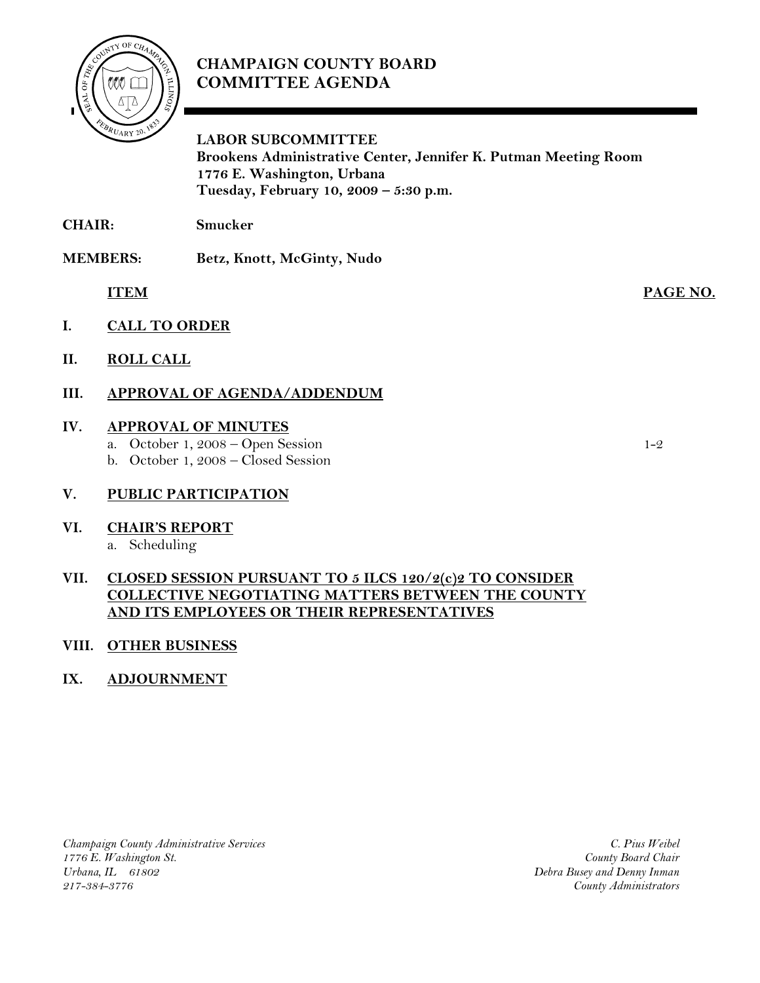

# **CHAMPAIGN COUNTY BOARD COMMITTEE AGENDA**

**LABOR SUBCOMMITTEE** 

 **Brookens Administrative Center, Jennifer K. Putman Meeting Room 1776 E. Washington, Urbana Tuesday, February 10, 2009 – 5:30 p.m.**

**CHAIR: Smucker** 

**MEMBERS: Betz, Knott, McGinty, Nudo** 

 **ITEM PAGE NO.**

- **I. CALL TO ORDER**
- **II. ROLL CALL**

## **III. APPROVAL OF AGENDA/ADDENDUM**

### **IV. APPROVAL OF MINUTES**

- a. October 1, 2008 Open Session 1-2
- b. October 1, 2008 Closed Session

## **V. PUBLIC PARTICIPATION**

**VI. CHAIR'S REPORT**

### a. Scheduling

## **VII. CLOSED SESSION PURSUANT TO 5 ILCS 120/2(c)2 TO CONSIDER COLLECTIVE NEGOTIATING MATTERS BETWEEN THE COUNTY AND ITS EMPLOYEES OR THEIR REPRESENTATIVES**

#### **VIII. OTHER BUSINESS**

## **IX. ADJOURNMENT**

*Champaign County Administrative Services 1776 E. Washington St. Urbana, IL 61802 217-384-3776*

*C. Pius Weibel County Board Chair Debra Busey and Denny Inman County Administrators*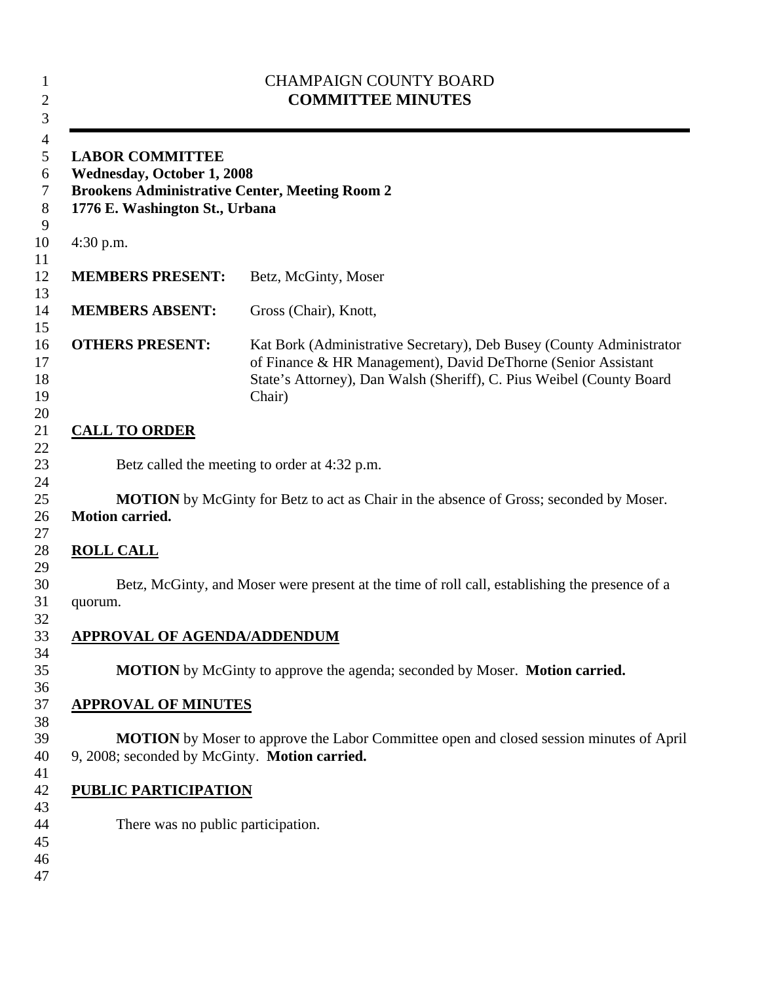| <b>LABOR COMMITTEE</b><br><b>Wednesday, October 1, 2008</b><br><b>Brookens Administrative Center, Meeting Room 2</b><br>1776 E. Washington St., Urbana |                                                                                                                                                                                                                         |
|--------------------------------------------------------------------------------------------------------------------------------------------------------|-------------------------------------------------------------------------------------------------------------------------------------------------------------------------------------------------------------------------|
| $4:30$ p.m.                                                                                                                                            |                                                                                                                                                                                                                         |
| <b>MEMBERS PRESENT:</b>                                                                                                                                | Betz, McGinty, Moser                                                                                                                                                                                                    |
| <b>MEMBERS ABSENT:</b>                                                                                                                                 | Gross (Chair), Knott,                                                                                                                                                                                                   |
| <b>OTHERS PRESENT:</b>                                                                                                                                 | Kat Bork (Administrative Secretary), Deb Busey (County Administrator<br>of Finance & HR Management), David DeThorne (Senior Assistant<br>State's Attorney), Dan Walsh (Sheriff), C. Pius Weibel (County Board<br>Chair) |
| <b>CALL TO ORDER</b>                                                                                                                                   |                                                                                                                                                                                                                         |
|                                                                                                                                                        |                                                                                                                                                                                                                         |
|                                                                                                                                                        | Betz called the meeting to order at 4:32 p.m.                                                                                                                                                                           |
| <b>Motion carried.</b><br><b>ROLL CALL</b>                                                                                                             |                                                                                                                                                                                                                         |
| quorum.                                                                                                                                                |                                                                                                                                                                                                                         |
| <b>APPROVAL OF AGENDA/ADDENDUM</b>                                                                                                                     |                                                                                                                                                                                                                         |
|                                                                                                                                                        | <b>MOTION</b> by McGinty to approve the agenda; seconded by Moser. <b>Motion carried.</b>                                                                                                                               |
| <b>APPROVAL OF MINUTES</b>                                                                                                                             | <b>MOTION</b> by McGinty for Betz to act as Chair in the absence of Gross; seconded by Moser.<br>Betz, McGinty, and Moser were present at the time of roll call, establishing the presence of a                         |
| 9, 2008; seconded by McGinty. Motion carried.                                                                                                          | <b>MOTION</b> by Moser to approve the Labor Committee open and closed session minutes of April                                                                                                                          |
| <b>PUBLIC PARTICIPATION</b>                                                                                                                            |                                                                                                                                                                                                                         |